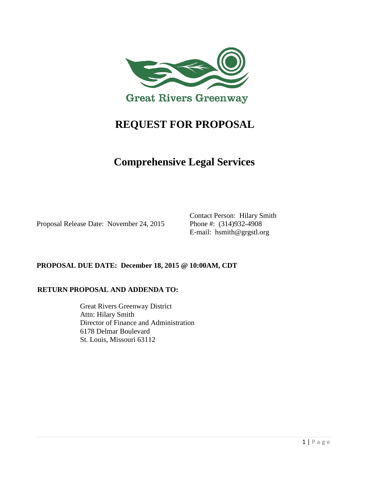

# **REQUEST FOR PROPOSAL**

# **Comprehensive Legal Services**

Proposal Release Date: November 24, 2015 Phone #: (314)932-4908

Contact Person: Hilary Smith E-mail: hsmith@grgstl.org

### **PROPOSAL DUE DATE: December 18, 2015 @ 10:00AM, CDT**

#### **RETURN PROPOSAL AND ADDENDA TO:**

Great Rivers Greenway District Attn: Hilary Smith Director of Finance and Administration 6178 Delmar Boulevard St. Louis, Missouri 63112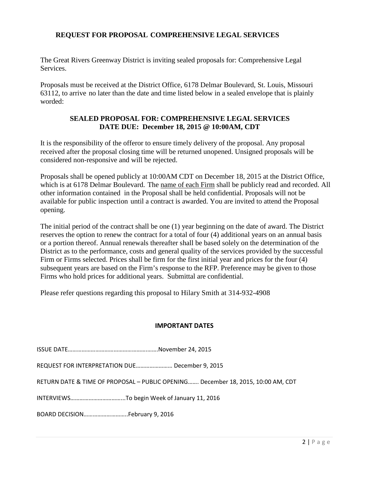#### **REQUEST FOR PROPOSAL COMPREHENSIVE LEGAL SERVICES**

The Great Rivers Greenway District is inviting sealed proposals for: Comprehensive Legal Services.

Proposals must be received at the District Office, 6178 Delmar Boulevard, St. Louis, Missouri 63112, to arrive no later than the date and time listed below in a sealed envelope that is plainly worded:

#### **SEALED PROPOSAL FOR: COMPREHENSIVE LEGAL SERVICES DATE DUE: December 18, 2015 @ 10:00AM, CDT**

It is the responsibility of the offeror to ensure timely delivery of the proposal. Any proposal received after the proposal closing time will be returned unopened. Unsigned proposals will be considered non-responsive and will be rejected.

Proposals shall be opened publicly at 10:00AM CDT on December 18, 2015 at the District Office, which is at 6178 Delmar Boulevard. The name of each Firm shall be publicly read and recorded. All other information contained in the Proposal shall be held confidential. Proposals will not be available for public inspection until a contract is awarded. You are invited to attend the Proposal opening.

The initial period of the contract shall be one (1) year beginning on the date of award. The District reserves the option to renew the contract for a total of four (4) additional years on an annual basis or a portion thereof. Annual renewals thereafter shall be based solely on the determination of the District as to the performance, costs and general quality of the services provided by the successful Firm or Firms selected. Prices shall be firm for the first initial year and prices for the four (4) subsequent years are based on the Firm's response to the RFP. Preference may be given to those Firms who hold prices for additional years. Submittal are confidential.

Please refer questions regarding this proposal to Hilary Smith at 314-932-4908

#### **IMPORTANT DATES**

| REQUEST FOR INTERPRETATION DUE December 9, 2015                                  |  |
|----------------------------------------------------------------------------------|--|
| RETURN DATE & TIME OF PROPOSAL - PUBLIC OPENING December 18, 2015, 10:00 AM, CDT |  |
|                                                                                  |  |
| BOARD DECISIONFebruary 9, 2016                                                   |  |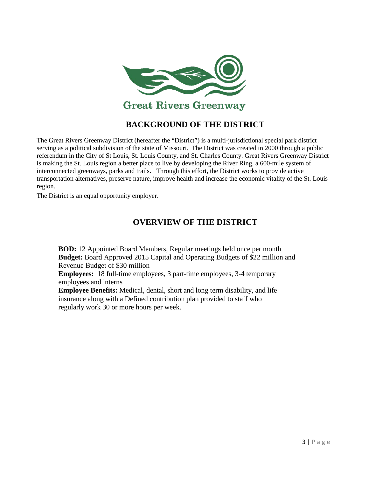

# **BACKGROUND OF THE DISTRICT**

The Great Rivers Greenway District (hereafter the "District") is a multi-jurisdictional special park district serving as a political subdivision of the state of Missouri. The District was created in 2000 through a public referendum in the City of St Louis, St. Louis County, and St. Charles County. Great Rivers Greenway District is making the St. Louis region a better place to live by developing the River Ring, a 600-mile system of interconnected greenways, parks and trails. Through this effort, the District works to provide active transportation alternatives, preserve nature, improve health and increase the economic vitality of the St. Louis region.

The District is an equal opportunity employer.

### **OVERVIEW OF THE DISTRICT**

**BOD:** 12 Appointed Board Members, Regular meetings held once per month **Budget:** Board Approved 2015 Capital and Operating Budgets of \$22 million and Revenue Budget of \$30 million

**Employees:** 18 full-time employees, 3 part-time employees, 3-4 temporary employees and interns

**Employee Benefits:** Medical, dental, short and long term disability, and life insurance along with a Defined contribution plan provided to staff who regularly work 30 or more hours per week.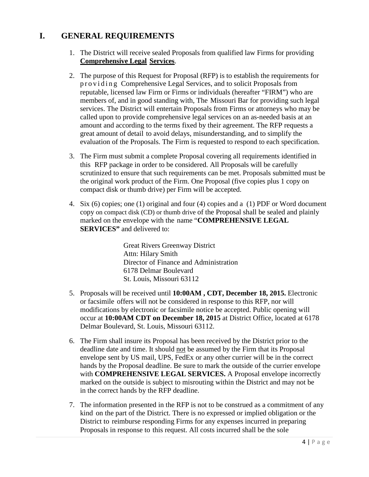## **I. GENERAL REQUIREMENTS**

- 1. The District will receive sealed Proposals from qualified law Firms for providing **Comprehensive Legal Services**.
- 2. The purpose of this Request for Proposal (RFP) is to establish the requirements for providing Comprehensive Legal Services, and to solicit Proposals from reputable, licensed law Firm or Firms or individuals (hereafter "FIRM") who are members of, and in good standing with, The Missouri Bar for providing such legal services. The District will entertain Proposals from Firms or attorneys who may be called upon to provide comprehensive legal services on an as-needed basis at an amount and according to the terms fixed by their agreement. The RFP requests a great amount of detail to avoid delays, misunderstanding, and to simplify the evaluation of the Proposals. The Firm is requested to respond to each specification.
- 3. The Firm must submit a complete Proposal covering all requirements identified in this RFP package in order to be considered. All Proposals will be carefully scrutinized to ensure that such requirements can be met. Proposals submitted must be the original work product of the Firm. One Proposal (five copies plus 1 copy on compact disk or thumb drive) per Firm will be accepted.
- 4. Six (6) copies; one (1) original and four (4) copies and a (1) PDF or Word document copy on compact disk (CD) or thumb drive of the Proposal shall be sealed and plainly marked on the envelope with the name "**COMPREHENSIVE LEGAL SERVICES**" and delivered to:

Great Rivers Greenway District Attn: Hilary Smith Director of Finance and Administration 6178 Delmar Boulevard St. Louis, Missouri 63112

- 5. Proposals will be received until **10:00AM , CDT, December 18, 2015.** Electronic or facsimile offers will not be considered in response to this RFP, nor will modifications by electronic or facsimile notice be accepted. Public opening will occur at **10:00AM CDT on December 18, 2015** at District Office, located at 6178 Delmar Boulevard, St. Louis, Missouri 63112.
- 6. The Firm shall insure its Proposal has been received by the District prior to the deadline date and time. It should not be assumed by the Firm that its Proposal envelope sent by US mail, UPS, FedEx or any other currier will be in the correct hands by the Proposal deadline. Be sure to mark the outside of the currier envelope with **COMPREHENSIVE LEGAL SERVICES.** A Proposal envelope incorrectly marked on the outside is subject to misrouting within the District and may not be in the correct hands by the RFP deadline.
- 7. The information presented in the RFP is not to be construed as a commitment of any kind on the part of the District. There is no expressed or implied obligation or the District to reimburse responding Firms for any expenses incurred in preparing Proposals in response to this request. All costs incurred shall be the sole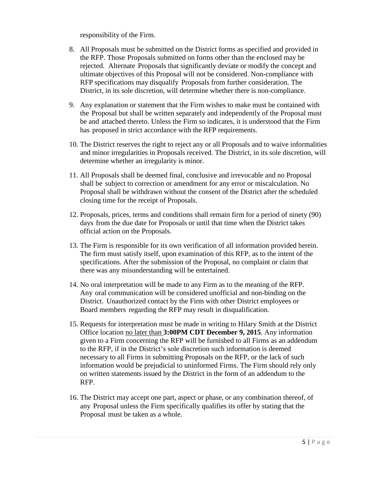responsibility of the Firm.

- 8. All Proposals must be submitted on the District forms as specified and provided in the RFP. Those Proposals submitted on forms other than the enclosed may be rejected. Alternate Proposals that significantly deviate or modify the concept and ultimate objectives of this Proposal will not be considered. Non-compliance with RFP specifications may disqualify Proposals from further consideration. The District, in its sole discretion, will determine whether there is non-compliance.
- 9. Any explanation or statement that the Firm wishes to make must be contained with the Proposal but shall be written separately and independently of the Proposal must be and attached thereto. Unless the Firm so indicates, it is understood that the Firm has proposed in strict accordance with the RFP requirements.
- 10. The District reserves the right to reject any or all Proposals and to waive informalities and minor irregularities in Proposals received. The District, in its sole discretion, will determine whether an irregularity is minor.
- 11. All Proposals shall be deemed final, conclusive and irrevocable and no Proposal shall be subject to correction or amendment for any error or miscalculation. No Proposal shall be withdrawn without the consent of the District after the scheduled closing time for the receipt of Proposals.
- 12. Proposals, prices, terms and conditions shall remain firm for a period of ninety (90) days from the due date for Proposals or until that time when the District takes official action on the Proposals.
- 13. The Firm is responsible for its own verification of all information provided herein. The firm must satisfy itself, upon examination of this RFP, as to the intent of the specifications. After the submission of the Proposal, no complaint or claim that there was any misunderstanding will be entertained.
- 14. No oral interpretation will be made to any Firm as to the meaning of the RFP. Any oral communication will be considered unofficial and non-binding on the District. Unauthorized contact by the Firm with other District employees or Board members regarding the RFP may result in disqualification.
- 15. Requests for interpretation must be made in writing to Hilary Smith at the District Office location no later than **3:00PM CDT December 9, 2015**. Any information given to a Firm concerning the RFP will be furnished to all Firms as an addendum to the RFP, if in the District's sole discretion such information is deemed necessary to all Firms in submitting Proposals on the RFP, or the lack of such information would be prejudicial to uninformed Firms. The Firm should rely only on written statements issued by the District in the form of an addendum to the RFP.
- 16. The District may accept one part, aspect or phase, or any combination thereof, of any Proposal unless the Firm specifically qualifies its offer by stating that the Proposal must be taken as a whole.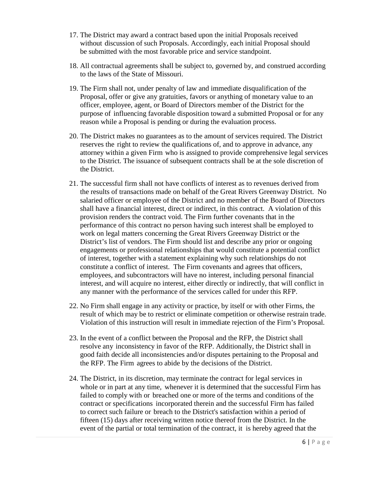- 17. The District may award a contract based upon the initial Proposals received without discussion of such Proposals. Accordingly, each initial Proposal should be submitted with the most favorable price and service standpoint.
- 18. All contractual agreements shall be subject to, governed by, and construed according to the laws of the State of Missouri.
- 19. The Firm shall not, under penalty of law and immediate disqualification of the Proposal, offer or give any gratuities, favors or anything of monetary value to an officer, employee, agent, or Board of Directors member of the District for the purpose of influencing favorable disposition toward a submitted Proposal or for any reason while a Proposal is pending or during the evaluation process.
- 20. The District makes no guarantees as to the amount of services required. The District reserves the right to review the qualifications of, and to approve in advance, any attorney within a given Firm who is assigned to provide comprehensive legal services to the District. The issuance of subsequent contracts shall be at the sole discretion of the District.
- 21. The successful firm shall not have conflicts of interest as to revenues derived from the results of transactions made on behalf of the Great Rivers Greenway District. No salaried officer or employee of the District and no member of the Board of Directors shall have a financial interest, direct or indirect, in this contract. A violation of this provision renders the contract void. The Firm further covenants that in the performance of this contract no person having such interest shall be employed to work on legal matters concerning the Great Rivers Greenway District or the District's list of vendors. The Firm should list and describe any prior or ongoing engagements or professional relationships that would constitute a potential conflict of interest, together with a statement explaining why such relationships do not constitute a conflict of interest. The Firm covenants and agrees that officers, employees, and subcontractors will have no interest, including personal financial interest, and will acquire no interest, either directly or indirectly, that will conflict in any manner with the performance of the services called for under this RFP.
- 22. No Firm shall engage in any activity or practice, by itself or with other Firms, the result of which may be to restrict or eliminate competition or otherwise restrain trade. Violation of this instruction will result in immediate rejection of the Firm's Proposal.
- 23. In the event of a conflict between the Proposal and the RFP, the District shall resolve any inconsistency in favor of the RFP. Additionally, the District shall in good faith decide all inconsistencies and/or disputes pertaining to the Proposal and the RFP. The Firm agrees to abide by the decisions of the District.
- 24. The District, in its discretion, may terminate the contract for legal services in whole or in part at any time, whenever it is determined that the successful Firm has failed to comply with or breached one or more of the terms and conditions of the contract or specifications incorporated therein and the successful Firm has failed to correct such failure or breach to the District's satisfaction within a period of fifteen (15) days after receiving written notice thereof from the District. In the event of the partial or total termination of the contract, it is hereby agreed that the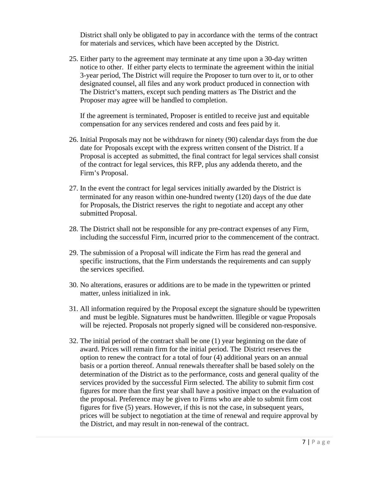District shall only be obligated to pay in accordance with the terms of the contract for materials and services, which have been accepted by the District.

25. Either party to the agreement may terminate at any time upon a 30-day written notice to other. If either party elects to terminate the agreement within the initial 3-year period, The District will require the Proposer to turn over to it, or to other designated counsel, all files and any work product produced in connection with The District's matters, except such pending matters as The District and the Proposer may agree will be handled to completion.

If the agreement is terminated, Proposer is entitled to receive just and equitable compensation for any services rendered and costs and fees paid by it.

- 26. Initial Proposals may not be withdrawn for ninety (90) calendar days from the due date for Proposals except with the express written consent of the District. If a Proposal is accepted as submitted, the final contract for legal services shall consist of the contract for legal services, this RFP, plus any addenda thereto, and the Firm's Proposal.
- 27. In the event the contract for legal services initially awarded by the District is terminated for any reason within one-hundred twenty (120) days of the due date for Proposals, the District reserves the right to negotiate and accept any other submitted Proposal.
- 28. The District shall not be responsible for any pre-contract expenses of any Firm, including the successful Firm, incurred prior to the commencement of the contract.
- 29. The submission of a Proposal will indicate the Firm has read the general and specific instructions, that the Firm understands the requirements and can supply the services specified.
- 30. No alterations, erasures or additions are to be made in the typewritten or printed matter, unless initialized in ink.
- 31. All information required by the Proposal except the signature should be typewritten and must be legible. Signatures must be handwritten. Illegible or vague Proposals will be rejected. Proposals not properly signed will be considered non-responsive.
- 32. The initial period of the contract shall be one (1) year beginning on the date of award. Prices will remain firm for the initial period. The District reserves the option to renew the contract for a total of four (4) additional years on an annual basis or a portion thereof. Annual renewals thereafter shall be based solely on the determination of the District as to the performance, costs and general quality of the services provided by the successful Firm selected. The ability to submit firm cost figures for more than the first year shall have a positive impact on the evaluation of the proposal. Preference may be given to Firms who are able to submit firm cost figures for five (5) years. However, if this is not the case, in subsequent years, prices will be subject to negotiation at the time of renewal and require approval by the District, and may result in non-renewal of the contract.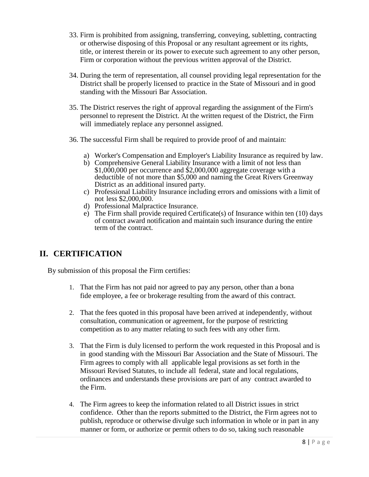- 33. Firm is prohibited from assigning, transferring, conveying, subletting, contracting or otherwise disposing of this Proposal or any resultant agreement or its rights, title, or interest therein or its power to execute such agreement to any other person, Firm or corporation without the previous written approval of the District.
- 34. During the term of representation, all counsel providing legal representation for the District shall be properly licensed to practice in the State of Missouri and in good standing with the Missouri Bar Association.
- 35. The District reserves the right of approval regarding the assignment of the Firm's personnel to represent the District. At the written request of the District, the Firm will immediately replace any personnel assigned.
- 36. The successful Firm shall be required to provide proof of and maintain:
	- a) Worker's Compensation and Employer's Liability Insurance as required by law.
	- b) Comprehensive General Liability Insurance with a limit of not less than \$1,000,000 per occurrence and \$2,000,000 aggregate coverage with a deductible of not more than \$5,000 and naming the Great Rivers Greenway District as an additional insured party.
	- c) Professional Liability Insurance including errors and omissions with a limit of not less \$2,000,000.
	- d) Professional Malpractice Insurance.
	- e) The Firm shall provide required Certificate(s) of Insurance within ten (10) days of contract award notification and maintain such insurance during the entire term of the contract.

### **II. CERTIFICATION**

By submission of this proposal the Firm certifies:

- 1. That the Firm has not paid nor agreed to pay any person, other than a bona fide employee, a fee or brokerage resulting from the award of this contract.
- 2. That the fees quoted in this proposal have been arrived at independently, without consultation, communication or agreement, for the purpose of restricting competition as to any matter relating to such fees with any other firm.
- 3. That the Firm is duly licensed to perform the work requested in this Proposal and is in good standing with the Missouri Bar Association and the State of Missouri. The Firm agrees to comply with all applicable legal provisions as set forth in the Missouri Revised Statutes, to include all federal, state and local regulations, ordinances and understands these provisions are part of any contract awarded to the Firm.
- 4. The Firm agrees to keep the information related to all District issues in strict confidence. Other than the reports submitted to the District, the Firm agrees not to publish, reproduce or otherwise divulge such information in whole or in part in any manner or form, or authorize or permit others to do so, taking such reasonable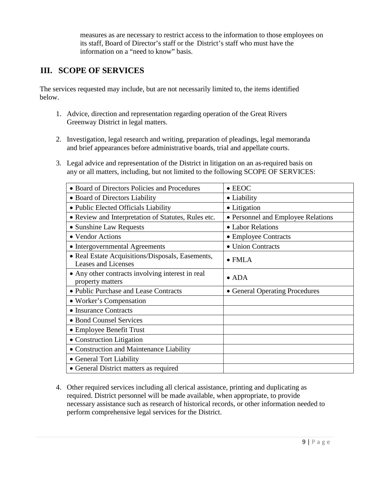measures as are necessary to restrict access to the information to those employees on its staff, Board of Director's staff or the District's staff who must have the information on a "need to know" basis.

# **III. SCOPE OF SERVICES**

The services requested may include, but are not necessarily limited to, the items identified below.

- 1. Advice, direction and representation regarding operation of the Great Rivers Greenway District in legal matters.
- 2. Investigation, legal research and writing, preparation of pleadings, legal memoranda and brief appearances before administrative boards, trial and appellate courts.
- 3. Legal advice and representation of the District in litigation on an as-required basis on any or all matters, including, but not limited to the following SCOPE OF SERVICES:

| • Board of Directors Policies and Procedures                                   | $\bullet$ EEOC                     |
|--------------------------------------------------------------------------------|------------------------------------|
| • Board of Directors Liability                                                 | • Liability                        |
| • Public Elected Officials Liability                                           | • Litigation                       |
| • Review and Interpretation of Statutes, Rules etc.                            | • Personnel and Employee Relations |
| • Sunshine Law Requests                                                        | • Labor Relations                  |
| • Vendor Actions                                                               | • Employee Contracts               |
| • Intergovernmental Agreements                                                 | • Union Contracts                  |
| • Real Estate Acquisitions/Disposals, Easements,<br><b>Leases and Licenses</b> | $\bullet$ FMLA                     |
| • Any other contracts involving interest in real<br>property matters           | $\bullet$ ADA                      |
| • Public Purchase and Lease Contracts                                          | • General Operating Procedures     |
| • Worker's Compensation                                                        |                                    |
| • Insurance Contracts                                                          |                                    |
| • Bond Counsel Services                                                        |                                    |
| • Employee Benefit Trust                                                       |                                    |
| • Construction Litigation                                                      |                                    |
| • Construction and Maintenance Liability                                       |                                    |
| • General Tort Liability                                                       |                                    |
| • General District matters as required                                         |                                    |

4. Other required services including all clerical assistance, printing and duplicating as required. District personnel will be made available, when appropriate, to provide necessary assistance such as research of historical records, or other information needed to perform comprehensive legal services for the District.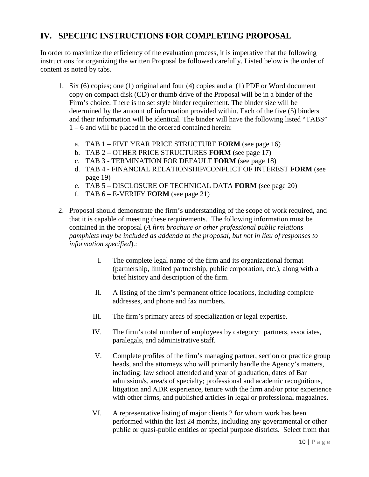# **IV. SPECIFIC INSTRUCTIONS FOR COMPLETING PROPOSAL**

In order to maximize the efficiency of the evaluation process, it is imperative that the following instructions for organizing the written Proposal be followed carefully. Listed below is the order of content as noted by tabs.

- 1. Six (6) copies; one (1) original and four (4) copies and a (1) PDF or Word document copy on compact disk (CD) or thumb drive of the Proposal will be in a binder of the Firm's choice. There is no set style binder requirement. The binder size will be determined by the amount of information provided within. Each of the five (5) binders and their information will be identical. The binder will have the following listed "TABS" 1 – 6 and will be placed in the ordered contained herein:
	- a. TAB 1 FIVE YEAR PRICE STRUCTURE **FORM** (see page 16)
	- b. TAB 2 OTHER PRICE STRUCTURES **FORM** (see page 17)
	- c. TAB 3 TERMINATION FOR DEFAULT **FORM** (see page 18)
	- d. TAB 4 FINANCIAL RELATIONSHIP/CONFLICT OF INTEREST **FORM** (see page 19)
	- e. TAB 5 DISCLOSURE OF TECHNICAL DATA **FORM** (see page 20)
	- f. TAB 6 E-VERIFY **FORM** (see page 21)
- 2. Proposal should demonstrate the firm's understanding of the scope of work required, and that it is capable of meeting these requirements. The following information must be contained in the proposal (*A firm brochure or other professional public relations pamphlets may be included as addenda to the proposal, but not in lieu of responses to information specified*).:
	- I. The complete legal name of the firm and its organizational format (partnership, limited partnership, public corporation, etc.), along with a brief history and description of the firm.
	- II. A listing of the firm's permanent office locations, including complete addresses, and phone and fax numbers.
	- III. The firm's primary areas of specialization or legal expertise.
	- IV. The firm's total number of employees by category: partners, associates, paralegals, and administrative staff.
	- V. Complete profiles of the firm's managing partner, section or practice group heads, and the attorneys who will primarily handle the Agency's matters, including: law school attended and year of graduation, dates of Bar admission/s, area/s of specialty; professional and academic recognitions, litigation and ADR experience, tenure with the firm and/or prior experience with other firms, and published articles in legal or professional magazines.
	- VI. A representative listing of major clients 2 for whom work has been performed within the last 24 months, including any governmental or other public or quasi-public entities or special purpose districts. Select from that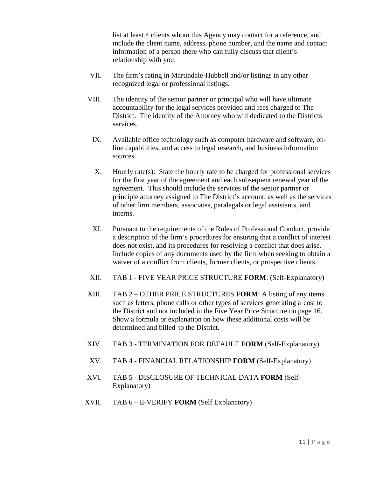list at least 4 clients whom this Agency may contact for a reference, and include the client name, address, phone number, and the name and contact information of a person there who can fully discuss that client's relationship with you.

- VII. The firm's rating in Martindale-Hubbell and/or listings in any other recognized legal or professional listings.
- VIII. The identity of the senior partner or principal who will have ultimate accountability for the legal services provided and fees charged to The District. The identity of the Attorney who will dedicated to the Districts services.
	- IX. Available office technology such as computer hardware and software, online capabilities, and access to legal research, and business information sources.
	- X. Hourly rate(s): State the hourly rate to be charged for professional services for the first year of the agreement and each subsequent renewal year of the agreement. This should include the services of the senior partner or principle attorney assigned to The District's account, as well as the services of other firm members, associates, paralegals or legal assistants, and interns.
	- XI. Pursuant to the requirements of the Rules of Professional Conduct, provide a description of the firm's procedures for ensuring that a conflict of interest does not exist, and its procedures for resolving a conflict that does arise. Include copies of any documents used by the firm when seeking to obtain a waiver of a conflict from clients, former clients, or prospective clients.
- XII. TAB 1 FIVE YEAR PRICE STRUCTURE **FORM**: (Self-Explanatory)
- XIII. TAB 2 OTHER PRICE STRUCTURES **FORM**: A listing of any items such as letters, phone calls or other types of services generating a cost to the District and not included in the Five Year Price Structure on page 16. Show a formula or explanation on how these additional costs will be determined and billed to the District.
- XIV. TAB 3 TERMINATION FOR DEFAULT **FORM** (Self-Explanatory)
- XV. TAB 4 FINANCIAL RELATIONSHIP **FORM** (Self-Explanatory)
- XVI. TAB 5 DISCLOSURE OF TECHNICAL DATA **FORM** (Self-Explanatory)
- XVII. TAB 6 E-VERIFY **FORM** (Self Explanatory)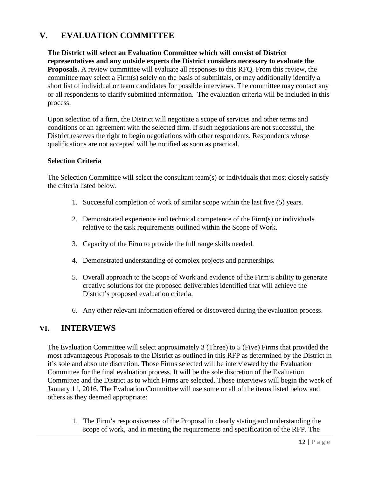# **V. EVALUATION COMMITTEE**

**The District will select an Evaluation Committee which will consist of District representatives and any outside experts the District considers necessary to evaluate the Proposals.** A review committee will evaluate all responses to this RFQ. From this review, the committee may select a Firm(s) solely on the basis of submittals, or may additionally identify a short list of individual or team candidates for possible interviews. The committee may contact any or all respondents to clarify submitted information. The evaluation criteria will be included in this process.

Upon selection of a firm, the District will negotiate a scope of services and other terms and conditions of an agreement with the selected firm. If such negotiations are not successful, the District reserves the right to begin negotiations with other respondents. Respondents whose qualifications are not accepted will be notified as soon as practical.

#### **Selection Criteria**

The Selection Committee will select the consultant team(s) or individuals that most closely satisfy the criteria listed below.

- 1. Successful completion of work of similar scope within the last five (5) years.
- 2. Demonstrated experience and technical competence of the Firm(s) or individuals relative to the task requirements outlined within the Scope of Work.
- 3. Capacity of the Firm to provide the full range skills needed.
- 4. Demonstrated understanding of complex projects and partnerships.
- 5. Overall approach to the Scope of Work and evidence of the Firm's ability to generate creative solutions for the proposed deliverables identified that will achieve the District's proposed evaluation criteria.
- 6. Any other relevant information offered or discovered during the evaluation process.

### **VI. INTERVIEWS**

The Evaluation Committee will select approximately 3 (Three) to 5 (Five) Firms that provided the most advantageous Proposals to the District as outlined in this RFP as determined by the District in it's sole and absolute discretion. Those Firms selected will be interviewed by the Evaluation Committee for the final evaluation process. It will be the sole discretion of the Evaluation Committee and the District as to which Firms are selected. Those interviews will begin the week of January 11, 2016. The Evaluation Committee will use some or all of the items listed below and others as they deemed appropriate:

1. The Firm's responsiveness of the Proposal in clearly stating and understanding the scope of work, and in meeting the requirements and specification of the RFP. The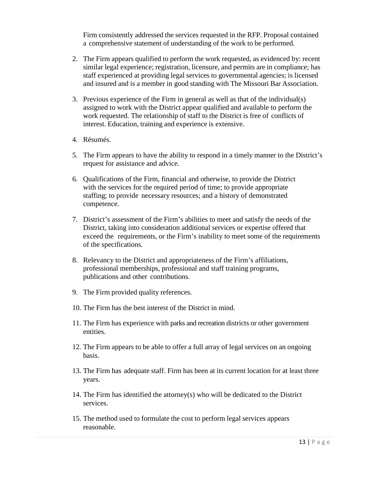Firm consistently addressed the services requested in the RFP. Proposal contained a comprehensive statement of understanding of the work to be performed.

- 2. The Firm appears qualified to perform the work requested, as evidenced by: recent similar legal experience; registration, licensure, and permits are in compliance; has staff experienced at providing legal services to governmental agencies; is licensed and insured and is a member in good standing with The Missouri Bar Association.
- 3. Previous experience of the Firm in general as well as that of the individual(s) assigned to work with the District appear qualified and available to perform the work requested. The relationship of staff to the District is free of conflicts of interest. Education, training and experience is extensive.
- 4. Résumés.
- 5. The Firm appears to have the ability to respond in a timely manner to the District's request for assistance and advice.
- 6. Qualifications of the Firm, financial and otherwise, to provide the District with the services for the required period of time; to provide appropriate staffing; to provide necessary resources; and a history of demonstrated competence.
- 7. District's assessment of the Firm's abilities to meet and satisfy the needs of the District, taking into consideration additional services or expertise offered that exceed the requirements, or the Firm's inability to meet some of the requirements of the specifications.
- 8. Relevancy to the District and appropriateness of the Firm's affiliations, professional memberships, professional and staff training programs, publications and other contributions.
- 9. The Firm provided quality references.
- 10. The Firm has the best interest of the District in mind.
- 11. The Firm has experience with parks and recreation districts or other government entities.
- 12. The Firm appears to be able to offer a full array of legal services on an ongoing basis.
- 13. The Firm has adequate staff. Firm has been at its current location for at least three years.
- 14. The Firm has identified the attorney(s) who will be dedicated to the District services.
- 15. The method used to formulate the cost to perform legal services appears reasonable.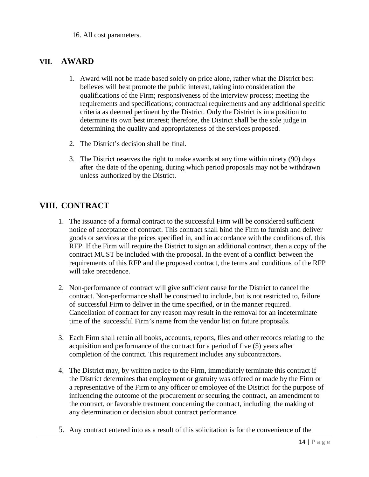16. All cost parameters.

### **VII. AWARD**

- 1. Award will not be made based solely on price alone, rather what the District best believes will best promote the public interest, taking into consideration the qualifications of the Firm; responsiveness of the interview process; meeting the requirements and specifications; contractual requirements and any additional specific criteria as deemed pertinent by the District. Only the District is in a position to determine its own best interest; therefore, the District shall be the sole judge in determining the quality and appropriateness of the services proposed.
- 2. The District's decision shall be final.
- 3. The District reserves the right to make awards at any time within ninety (90) days after the date of the opening, during which period proposals may not be withdrawn unless authorized by the District.

### **VIII. CONTRACT**

- 1. The issuance of a formal contract to the successful Firm will be considered sufficient notice of acceptance of contract. This contract shall bind the Firm to furnish and deliver goods or services at the prices specified in, and in accordance with the conditions of, this RFP. If the Firm will require the District to sign an additional contract, then a copy of the contract MUST be included with the proposal. In the event of a conflict between the requirements of this RFP and the proposed contract, the terms and conditions of the RFP will take precedence.
- 2. Non-performance of contract will give sufficient cause for the District to cancel the contract. Non-performance shall be construed to include, but is not restricted to, failure of successful Firm to deliver in the time specified, or in the manner required. Cancellation of contract for any reason may result in the removal for an indeterminate time of the successful Firm's name from the vendor list on future proposals.
- 3. Each Firm shall retain all books, accounts, reports, files and other records relating to the acquisition and performance of the contract for a period of five (5) years after completion of the contract. This requirement includes any subcontractors.
- 4. The District may, by written notice to the Firm, immediately terminate this contract if the District determines that employment or gratuity was offered or made by the Firm or a representative of the Firm to any officer or employee of the District for the purpose of influencing the outcome of the procurement or securing the contract, an amendment to the contract, or favorable treatment concerning the contract, including the making of any determination or decision about contract performance.
- 5. Any contract entered into as a result of this solicitation is for the convenience of the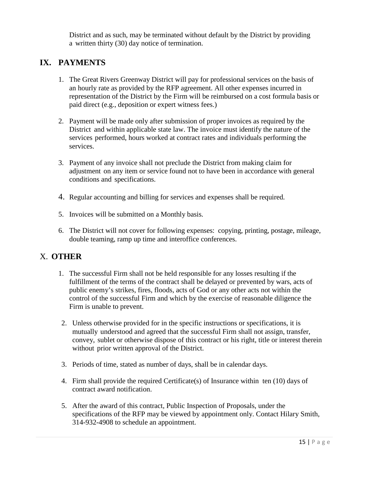District and as such, may be terminated without default by the District by providing a written thirty (30) day notice of termination.

# **IX. PAYMENTS**

- 1. The Great Rivers Greenway District will pay for professional services on the basis of an hourly rate as provided by the RFP agreement. All other expenses incurred in representation of the District by the Firm will be reimbursed on a cost formula basis or paid direct (e.g., deposition or expert witness fees.)
- 2. Payment will be made only after submission of proper invoices as required by the District and within applicable state law. The invoice must identify the nature of the services performed, hours worked at contract rates and individuals performing the services.
- 3. Payment of any invoice shall not preclude the District from making claim for adjustment on any item or service found not to have been in accordance with general conditions and specifications.
- 4. Regular accounting and billing for services and expenses shall be required.
- 5. Invoices will be submitted on a Monthly basis.
- 6. The District will not cover for following expenses: copying, printing, postage, mileage, double teaming, ramp up time and interoffice conferences.

### X. **OTHER**

- 1. The successful Firm shall not be held responsible for any losses resulting if the fulfillment of the terms of the contract shall be delayed or prevented by wars, acts of public enemy's strikes, fires, floods, acts of God or any other acts not within the control of the successful Firm and which by the exercise of reasonable diligence the Firm is unable to prevent.
- 2. Unless otherwise provided for in the specific instructions or specifications, it is mutually understood and agreed that the successful Firm shall not assign, transfer, convey, sublet or otherwise dispose of this contract or his right, title or interest therein without prior written approval of the District.
- 3. Periods of time, stated as number of days, shall be in calendar days.
- 4. Firm shall provide the required Certificate(s) of Insurance within ten (10) days of contract award notification.
- 5. After the award of this contract, Public Inspection of Proposals, under the specifications of the RFP may be viewed by appointment only. Contact Hilary Smith, 314-932-4908 to schedule an appointment.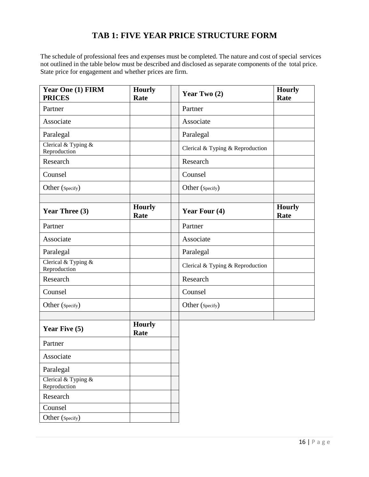# **TAB 1: FIVE YEAR PRICE STRUCTURE FORM**

The schedule of professional fees and expenses must be completed. The nature and cost of special services not outlined in the table below must be described and disclosed as separate components of the total price. State price for engagement and whether prices are firm.

| Year One (1) FIRM<br><b>PRICES</b>    | <b>Hourly</b><br>Rate | Year Two (2)                     | <b>Hourly</b><br>Rate |
|---------------------------------------|-----------------------|----------------------------------|-----------------------|
| Partner                               |                       | Partner                          |                       |
| Associate                             |                       | Associate                        |                       |
| Paralegal                             |                       | Paralegal                        |                       |
| Clerical & Typing $&$<br>Reproduction |                       | Clerical & Typing & Reproduction |                       |
| Research                              |                       | Research                         |                       |
| Counsel                               |                       | Counsel                          |                       |
| Other (Specify)                       |                       | Other (Specify)                  |                       |
| Year Three (3)                        | <b>Hourly</b><br>Rate | Year Four (4)                    | <b>Hourly</b><br>Rate |
| Partner                               |                       | Partner                          |                       |
| Associate                             |                       | Associate                        |                       |
| Paralegal                             |                       | Paralegal                        |                       |
| Clerical & Typing &<br>Reproduction   |                       | Clerical & Typing & Reproduction |                       |
| Research                              |                       | Research                         |                       |
| Counsel                               |                       | Counsel                          |                       |
| Other (Specify)                       |                       | Other (Specify)                  |                       |
| Year Five (5)                         | <b>Hourly</b><br>Rate |                                  |                       |
| Partner                               |                       |                                  |                       |
| Associate                             |                       |                                  |                       |
| Paralegal                             |                       |                                  |                       |
| Clerical & Typing &<br>Reproduction   |                       |                                  |                       |
| Research                              |                       |                                  |                       |
| Counsel                               |                       |                                  |                       |
| Other (Specify)                       |                       |                                  |                       |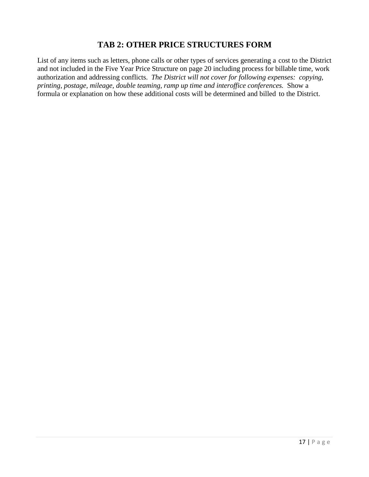### **TAB 2: OTHER PRICE STRUCTURES FORM**

List of any items such as letters, phone calls or other types of services generating a cost to the District and not included in the Five Year Price Structure on page 20 including process for billable time, work authorization and addressing conflicts. *The District will not cover for following expenses: copying, printing, postage, mileage, double teaming, ramp up time and interoffice conferences.* Show a formula or explanation on how these additional costs will be determined and billed to the District.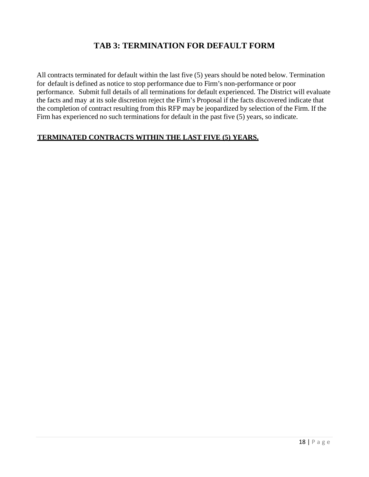## **TAB 3: TERMINATION FOR DEFAULT FORM**

All contracts terminated for default within the last five (5) years should be noted below. Termination for default is defined as notice to stop performance due to Firm's non-performance or poor performance. Submit full details of all terminations for default experienced. The District will evaluate the facts and may at its sole discretion reject the Firm's Proposal if the facts discovered indicate that the completion of contract resulting from this RFP may be jeopardized by selection of the Firm. If the Firm has experienced no such terminations for default in the past five (5) years, so indicate.

### **TERMINATED CONTRACTS WITHIN THE LAST FIVE (5) YEARS.**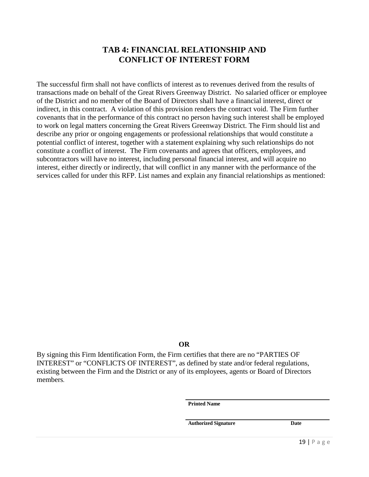### **TAB 4: FINANCIAL RELATIONSHIP AND CONFLICT OF INTEREST FORM**

The successful firm shall not have conflicts of interest as to revenues derived from the results of transactions made on behalf of the Great Rivers Greenway District. No salaried officer or employee of the District and no member of the Board of Directors shall have a financial interest, direct or indirect, in this contract. A violation of this provision renders the contract void. The Firm further covenants that in the performance of this contract no person having such interest shall be employed to work on legal matters concerning the Great Rivers Greenway District. The Firm should list and describe any prior or ongoing engagements or professional relationships that would constitute a potential conflict of interest, together with a statement explaining why such relationships do not constitute a conflict of interest. The Firm covenants and agrees that officers, employees, and subcontractors will have no interest, including personal financial interest, and will acquire no interest, either directly or indirectly, that will conflict in any manner with the performance of the services called for under this RFP. List names and explain any financial relationships as mentioned:

#### **OR**

By signing this Firm Identification Form, the Firm certifies that there are no "PARTIES OF INTEREST" or "CONFLICTS OF INTEREST", as defined by state and/or federal regulations, existing between the Firm and the District or any of its employees, agents or Board of Directors members.

**Printed Name**

**Authorized Signature Date**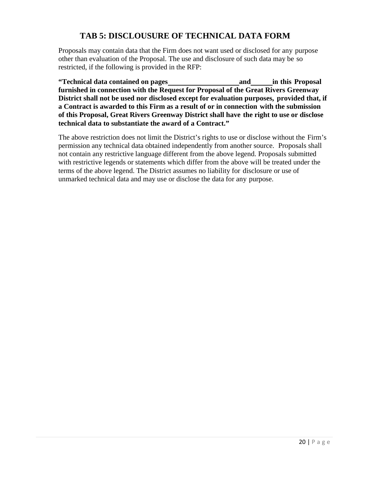## **TAB 5: DISCLOUSURE OF TECHNICAL DATA FORM**

Proposals may contain data that the Firm does not want used or disclosed for any purpose other than evaluation of the Proposal. The use and disclosure of such data may be so restricted, if the following is provided in the RFP:

**"Technical data contained on pages and in this Proposal furnished in connection with the Request for Proposal of the Great Rivers Greenway District shall not be used nor disclosed except for evaluation purposes, provided that, if a Contract is awarded to this Firm as a result of or in connection with the submission of this Proposal, Great Rivers Greenway District shall have the right to use or disclose technical data to substantiate the award of a Contract."**

The above restriction does not limit the District's rights to use or disclose without the Firm's permission any technical data obtained independently from another source. Proposals shall not contain any restrictive language different from the above legend. Proposals submitted with restrictive legends or statements which differ from the above will be treated under the terms of the above legend. The District assumes no liability for disclosure or use of unmarked technical data and may use or disclose the data for any purpose.